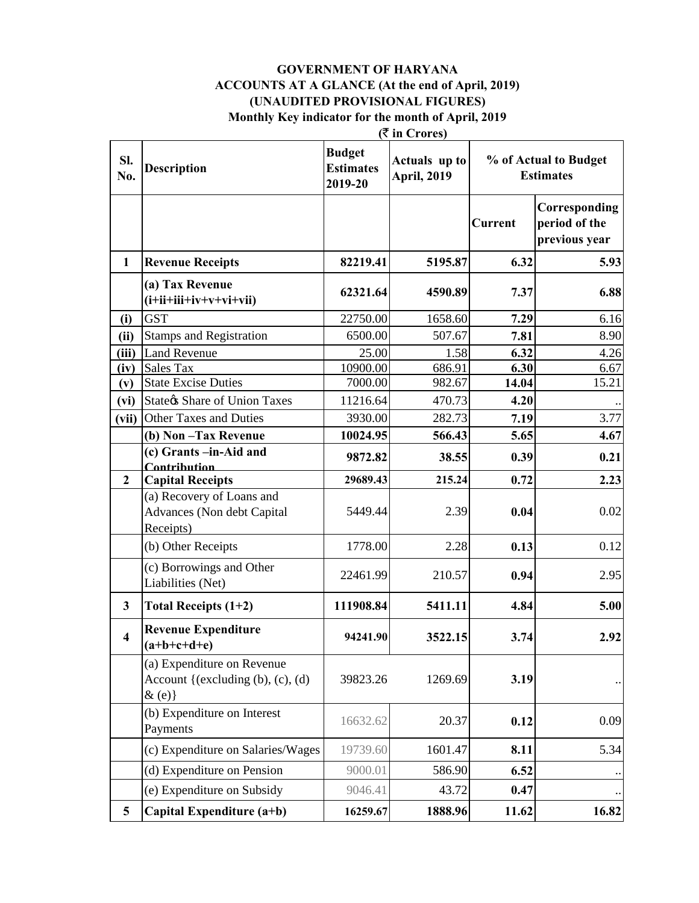### **GOVERNMENT OF HARYANA ACCOUNTS AT A GLANCE (At the end of April, 2019) (UNAUDITED PROVISIONAL FIGURES)**

 **(**` **in Crores) Monthly Key indicator for the month of April, 2019**

| Sl.<br>No.              | <b>Description</b>                                                              | <b>Budget</b><br><b>Estimates</b><br>2019-20 | $\frac{1}{2}$<br>Actuals up to<br><b>April, 2019</b> | % of Actual to Budget<br><b>Estimates</b> |                                                 |
|-------------------------|---------------------------------------------------------------------------------|----------------------------------------------|------------------------------------------------------|-------------------------------------------|-------------------------------------------------|
|                         |                                                                                 |                                              |                                                      | <b>Current</b>                            | Corresponding<br>period of the<br>previous year |
| $\mathbf{1}$            | <b>Revenue Receipts</b>                                                         | 82219.41                                     | 5195.87                                              | 6.32                                      | 5.93                                            |
|                         | (a) Tax Revenue<br>$(i+iii+iiv+v+vi+vi)$                                        | 62321.64                                     | 4590.89                                              | 7.37                                      | 6.88                                            |
| (i)                     | <b>GST</b>                                                                      | 22750.00                                     | 1658.60                                              | 7.29                                      | 6.16                                            |
| (ii)                    | <b>Stamps and Registration</b>                                                  | 6500.00                                      | 507.67                                               | 7.81                                      | 8.90                                            |
| (iii)                   | <b>Land Revenue</b>                                                             | 25.00                                        | 1.58                                                 | 6.32                                      | 4.26                                            |
| (iv)                    | <b>Sales Tax</b>                                                                | 10900.00                                     | 686.91                                               | 6.30                                      | 6.67                                            |
| (v)                     | <b>State Excise Duties</b>                                                      | 7000.00                                      | 982.67                                               | 14.04                                     | 15.21                                           |
| (vi)                    | <b>State &amp; Share of Union Taxes</b>                                         | 11216.64                                     | 470.73                                               | 4.20                                      |                                                 |
| (vii)                   | <b>Other Taxes and Duties</b>                                                   | 3930.00                                      | 282.73                                               | 7.19                                      | 3.77                                            |
|                         | (b) Non-Tax Revenue                                                             | 10024.95                                     | 566.43                                               | 5.65                                      | 4.67                                            |
|                         | (c) Grants -in-Aid and                                                          | 9872.82                                      | 38.55                                                | 0.39                                      | 0.21                                            |
| $\mathbf{2}$            | Contribution<br><b>Capital Receipts</b>                                         | 29689.43                                     | 215.24                                               | 0.72                                      | 2.23                                            |
|                         | (a) Recovery of Loans and<br>Advances (Non debt Capital<br>Receipts)            | 5449.44                                      | 2.39                                                 | 0.04                                      | 0.02                                            |
|                         | (b) Other Receipts                                                              | 1778.00                                      | 2.28                                                 | 0.13                                      | 0.12                                            |
|                         | (c) Borrowings and Other<br>Liabilities (Net)                                   | 22461.99                                     | 210.57                                               | 0.94                                      | 2.95                                            |
| 3                       | Total Receipts $(1+2)$                                                          | 111908.84                                    | 5411.11                                              | 4.84                                      | 5.00                                            |
| $\overline{\mathbf{4}}$ | <b>Revenue Expenditure</b><br>$(a+b+c+d+e)$                                     | 94241.90                                     | 3522.15                                              | 3.74                                      | 2.92                                            |
|                         | (a) Expenditure on Revenue<br>Account { $(excluding (b), (c), (d)$<br>$\&$ (e)} | 39823.26                                     | 1269.69                                              | 3.19                                      |                                                 |
|                         | (b) Expenditure on Interest<br>Payments                                         | 16632.62                                     | 20.37                                                | 0.12                                      | 0.09                                            |
|                         | (c) Expenditure on Salaries/Wages                                               | 19739.60                                     | 1601.47                                              | 8.11                                      | 5.34                                            |
|                         | (d) Expenditure on Pension                                                      | 9000.01                                      | 586.90                                               | 6.52                                      |                                                 |
|                         | (e) Expenditure on Subsidy                                                      | 9046.41                                      | 43.72                                                | 0.47                                      |                                                 |
| 5                       | Capital Expenditure (a+b)                                                       | 16259.67                                     | 1888.96                                              | 11.62                                     | 16.82                                           |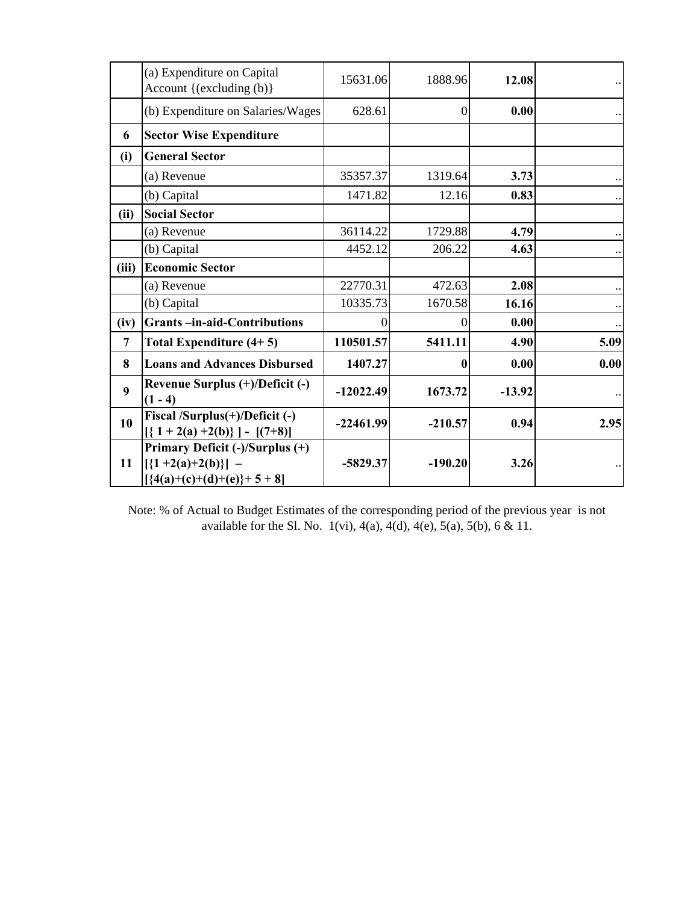|       | (a) Expenditure on Capital<br>Account {(excluding (b)}                                   | 15631.06    | 1888.96   | 12.08    |                      |
|-------|------------------------------------------------------------------------------------------|-------------|-----------|----------|----------------------|
|       | (b) Expenditure on Salaries/Wages                                                        | 628.61      | $\Omega$  | 0.00     |                      |
| 6     | <b>Sector Wise Expenditure</b>                                                           |             |           |          |                      |
| (i)   | <b>General Sector</b>                                                                    |             |           |          |                      |
|       | (a) Revenue                                                                              | 35357.37    | 1319.64   | 3.73     |                      |
|       | (b) Capital                                                                              | 1471.82     | 12.16     | 0.83     |                      |
| (ii)  | <b>Social Sector</b>                                                                     |             |           |          |                      |
|       | (a) Revenue                                                                              | 36114.22    | 1729.88   | 4.79     | $\ddotsc$            |
|       | (b) Capital                                                                              | 4452.12     | 206.22    | 4.63     | $\ddot{\phantom{a}}$ |
| (iii) | <b>Economic Sector</b>                                                                   |             |           |          |                      |
|       | (a) Revenue                                                                              | 22770.31    | 472.63    | 2.08     |                      |
|       | (b) Capital                                                                              | 10335.73    | 1670.58   | 16.16    |                      |
| (iv)  | <b>Grants-in-aid-Contributions</b>                                                       | 0           | $\theta$  | 0.00     | $\ddotsc$            |
| 7     | Total Expenditure (4+5)                                                                  | 110501.57   | 5411.11   | 4.90     | 5.09                 |
| 8     | <b>Loans and Advances Disbursed</b>                                                      | 1407.27     | A         | 0.00     | 0.00                 |
| 9     | Revenue Surplus (+)/Deficit (-)<br>$(1 - 4)$                                             | $-12022.49$ | 1673.72   | $-13.92$ |                      |
| 10    | Fiscal /Surplus(+)/Deficit (-)<br>$[ {1 + 2(a) +2(b)} ] - [ (7+8) ]$                     | $-22461.99$ | $-210.57$ | 0.94     | 2.95                 |
| 11    | Primary Deficit (-)/Surplus (+)<br>$[\{1+2(a)+2(b)\}]$ –<br>$[ {4(a)+(c)+(d)+(e)}+5+8 ]$ | $-5829.37$  | $-190.20$ | 3.26     |                      |

Note: % of Actual to Budget Estimates of the corresponding period of the previous year is not available for the Sl. No.  $1(vi)$ ,  $4(a)$ ,  $4(d)$ ,  $4(e)$ ,  $5(a)$ ,  $5(b)$ ,  $6 & 11$ .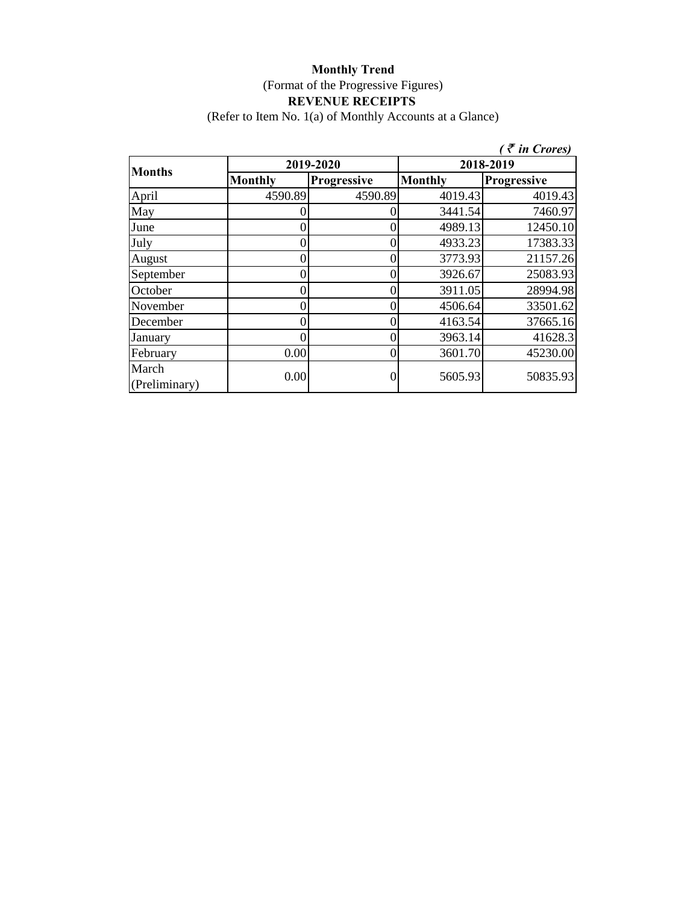(Refer to Item No. 1(a) of Monthly Accounts at a Glance)

|                        |                |                    |                | $($ $\bar{\tau}$ in Crores) |  |
|------------------------|----------------|--------------------|----------------|-----------------------------|--|
| <b>Months</b>          |                | 2019-2020          | 2018-2019      |                             |  |
|                        | <b>Monthly</b> | <b>Progressive</b> | <b>Monthly</b> | Progressive                 |  |
| April                  | 4590.89        | 4590.89            | 4019.43        | 4019.43                     |  |
| May                    |                |                    | 3441.54        | 7460.97                     |  |
| June                   |                | I)                 | 4989.13        | 12450.10                    |  |
| July                   |                |                    | 4933.23        | 17383.33                    |  |
| August                 |                |                    | 3773.93        | 21157.26                    |  |
| September              |                |                    | 3926.67        | 25083.93                    |  |
| October                |                |                    | 3911.05        | 28994.98                    |  |
| November               |                |                    | 4506.64        | 33501.62                    |  |
| December               |                |                    | 4163.54        | 37665.16                    |  |
| January                |                |                    | 3963.14        | 41628.3                     |  |
| February               | 0.00           | O                  | 3601.70        | 45230.00                    |  |
| March<br>(Preliminary) | 0.00           |                    | 5605.93        | 50835.93                    |  |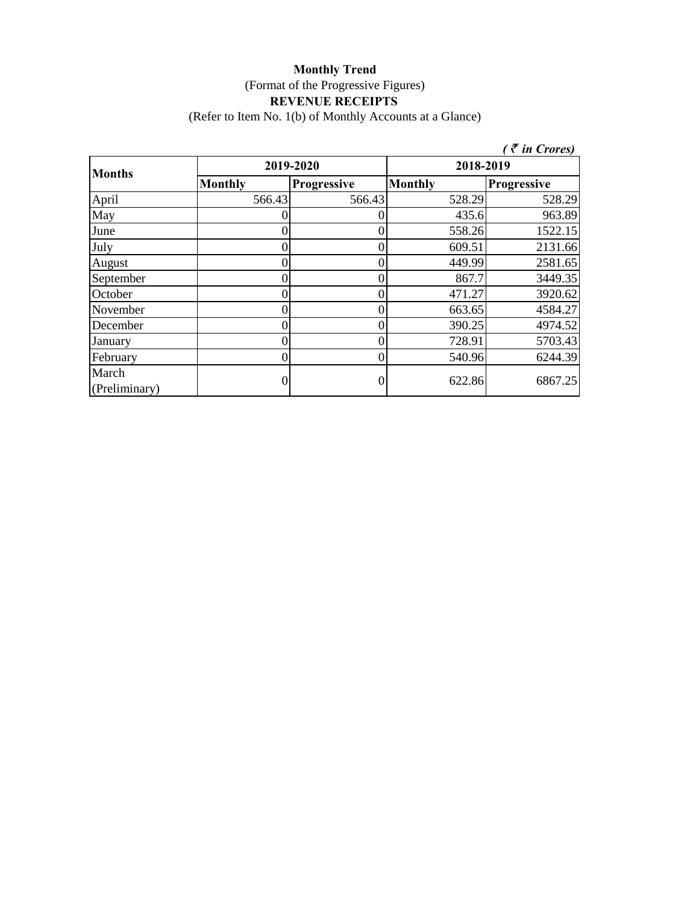(Refer to Item No. 1(b) of Monthly Accounts at a Glance)

|                        |                |                    |                | $\bar{\tau}$ in Crores) |
|------------------------|----------------|--------------------|----------------|-------------------------|
| <b>Months</b>          |                | 2019-2020          | 2018-2019      |                         |
|                        | <b>Monthly</b> | <b>Progressive</b> | <b>Monthly</b> | <b>Progressive</b>      |
| April                  | 566.43         | 566.43             | 528.29         | 528.29                  |
| May                    |                |                    | 435.6          | 963.89                  |
| June                   |                |                    | 558.26         | 1522.15                 |
| July                   |                |                    | 609.51         | 2131.66                 |
| August                 |                |                    | 449.99         | 2581.65                 |
| September              |                | 0                  | 867.7          | 3449.35                 |
| October                |                |                    | 471.27         | 3920.62                 |
| November               |                |                    | 663.65         | 4584.27                 |
| December               |                |                    | 390.25         | 4974.52                 |
| January                |                |                    | 728.91         | 5703.43                 |
| February               | 0              | 0                  | 540.96         | 6244.39                 |
| March<br>(Preliminary) |                |                    | 622.86         | 6867.25                 |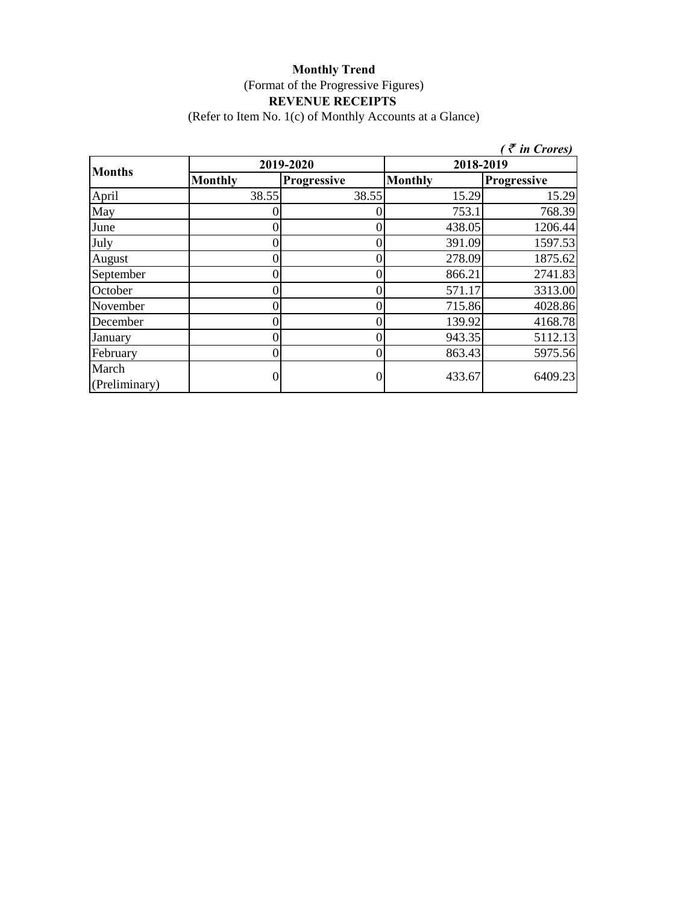(Refer to Item No. 1(c) of Monthly Accounts at a Glance)

|                        |                |             |                | $($ $\bar{\tau}$ in Crores) |  |
|------------------------|----------------|-------------|----------------|-----------------------------|--|
|                        |                | 2019-2020   | 2018-2019      |                             |  |
| <b>Months</b>          | <b>Monthly</b> | Progressive | <b>Monthly</b> | <b>Progressive</b>          |  |
| April                  | 38.55          | 38.55       | 15.29          | 15.29                       |  |
| May                    |                |             | 753.1          | 768.39                      |  |
| June                   | 0              |             | 438.05         | 1206.44                     |  |
| July                   | $\theta$       |             | 391.09         | 1597.53                     |  |
| August                 | 0              |             | 278.09         | 1875.62                     |  |
| September              | 0              |             | 866.21         | 2741.83                     |  |
| October                | 0              |             | 571.17         | 3313.00                     |  |
| November               | 0              |             | 715.86         | 4028.86                     |  |
| December               | 0              |             | 139.92         | 4168.78                     |  |
| January                | 0              |             | 943.35         | 5112.13                     |  |
| February               | 0              | 0           | 863.43         | 5975.56                     |  |
| March<br>(Preliminary) | 0              |             | 433.67         | 6409.23                     |  |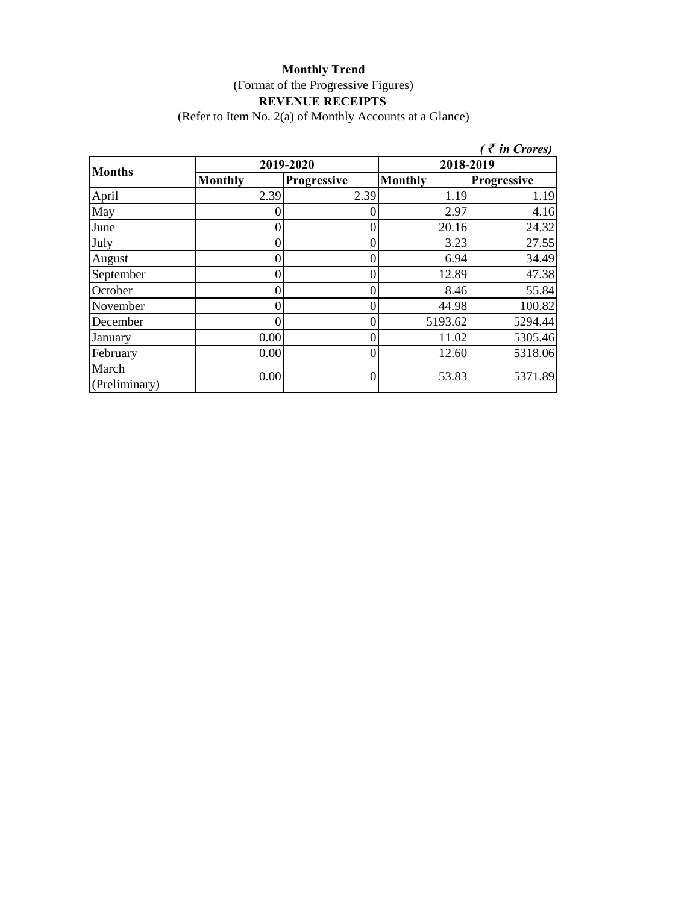(Refer to Item No. 2(a) of Monthly Accounts at a Glance)

|                        |                |                    |                | $($ $\bar{\tau}$ in Crores) |  |
|------------------------|----------------|--------------------|----------------|-----------------------------|--|
| <b>Months</b>          |                | 2019-2020          | 2018-2019      |                             |  |
|                        | <b>Monthly</b> | <b>Progressive</b> | <b>Monthly</b> | Progressive                 |  |
| April                  | 2.39           | 2.39               | 1.19           | 1.19                        |  |
| May                    |                |                    | 2.97           | 4.16                        |  |
| June                   |                | 0                  | 20.16          | 24.32                       |  |
| July                   |                |                    | 3.23           | 27.55                       |  |
| August                 |                |                    | 6.94           | 34.49                       |  |
| September              |                |                    | 12.89          | 47.38                       |  |
| October                |                |                    | 8.46           | 55.84                       |  |
| November               |                |                    | 44.98          | 100.82                      |  |
| December               |                |                    | 5193.62        | 5294.44                     |  |
| January                | 0.00           |                    | 11.02          | 5305.46                     |  |
| February               | 0.00           |                    | 12.60          | 5318.06                     |  |
| March<br>(Preliminary) | 0.00           |                    | 53.83          | 5371.89                     |  |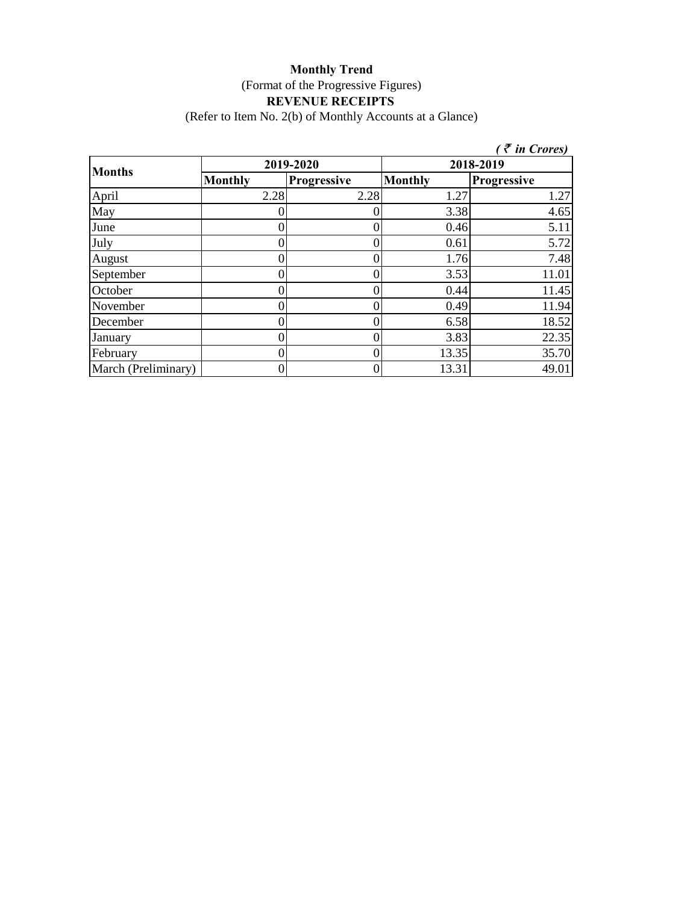(Refer to Item No. 2(b) of Monthly Accounts at a Glance)

|                     |                |             |                | (₹ in Crores) |
|---------------------|----------------|-------------|----------------|---------------|
|                     |                | 2019-2020   |                | 2018-2019     |
| <b>Months</b>       | <b>Monthly</b> | Progressive | <b>Monthly</b> | Progressive   |
| April               | 2.28           | 2.28        | 1.27           | 1.27          |
| May                 |                |             | 3.38           | 4.65          |
| June                | $^{(1)}$       |             | 0.46           | 5.11          |
| July                |                |             | 0.61           | 5.72          |
| August              |                |             | 1.76           | 7.48          |
| September           |                | 0           | 3.53           | 11.01         |
| October             |                |             | 0.44           | 11.45         |
| November            |                |             | 0.49           | 11.94         |
| December            | 0              | 0           | 6.58           | 18.52         |
| January             | 0              | 0           | 3.83           | 22.35         |
| February            | 0              | 0           | 13.35          | 35.70         |
| March (Preliminary) |                | 0           | 13.31          | 49.01         |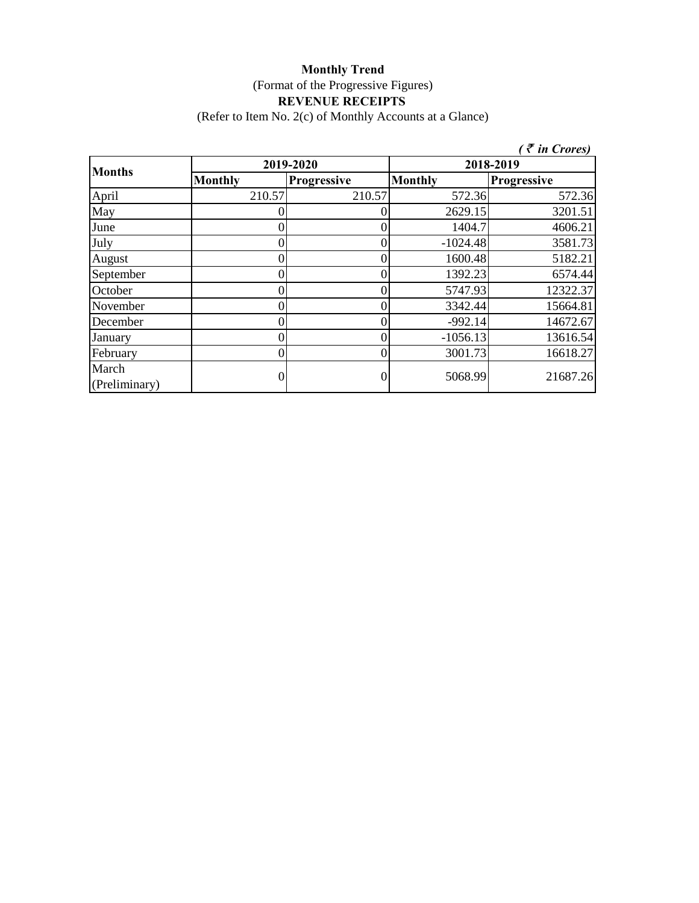(Refer to Item No. 2(c) of Monthly Accounts at a Glance)

|                        |                | $\bar{\tau}$ in Crores) |                |             |  |
|------------------------|----------------|-------------------------|----------------|-------------|--|
| <b>Months</b>          |                | 2019-2020               | 2018-2019      |             |  |
|                        | <b>Monthly</b> | <b>Progressive</b>      | <b>Monthly</b> | Progressive |  |
| April                  | 210.57         | 210.57                  | 572.36         | 572.36      |  |
| May                    |                |                         | 2629.15        | 3201.51     |  |
| June                   |                |                         | 1404.7         | 4606.21     |  |
| July                   |                | 0                       | $-1024.48$     | 3581.73     |  |
| August                 |                |                         | 1600.48        | 5182.21     |  |
| September              |                |                         | 1392.23        | 6574.44     |  |
| October                |                |                         | 5747.93        | 12322.37    |  |
| November               |                |                         | 3342.44        | 15664.81    |  |
| December               |                | 0                       | $-992.14$      | 14672.67    |  |
| January                |                |                         | $-1056.13$     | 13616.54    |  |
| February               |                | 0                       | 3001.73        | 16618.27    |  |
| March<br>(Preliminary) |                |                         | 5068.99        | 21687.26    |  |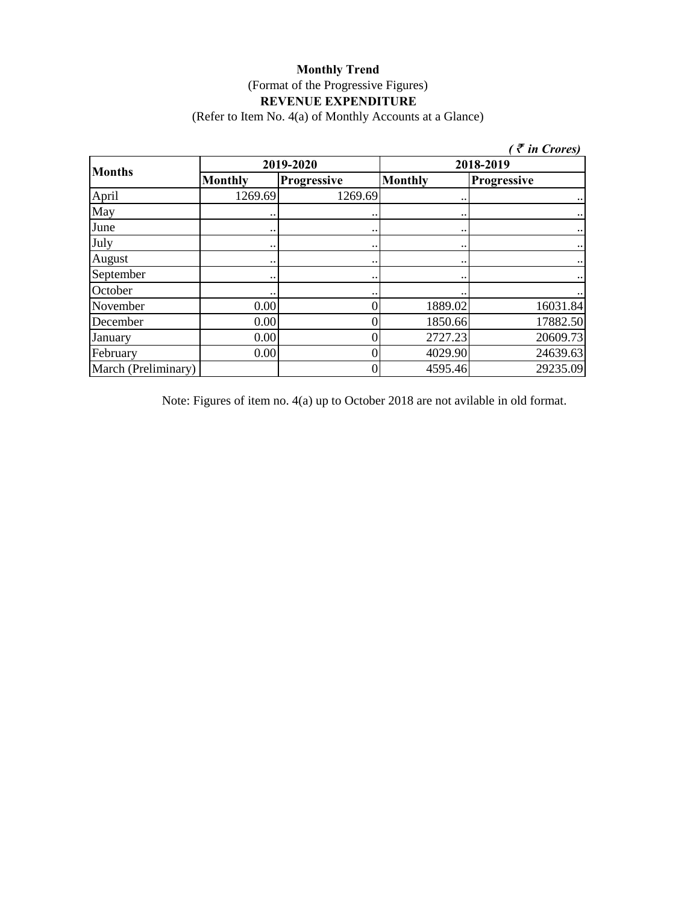(Refer to Item No. 4(a) of Monthly Accounts at a Glance)

| $\zeta \bar{\tau}$ in Crores) |                      |                    |                    |                        |  |
|-------------------------------|----------------------|--------------------|--------------------|------------------------|--|
| <b>Months</b>                 |                      | 2019-2020          | 2018-2019          |                        |  |
|                               | <b>Monthly</b>       | <b>Progressive</b> | <b>Monthly</b>     | Progressive            |  |
| April                         | 1269.69              | 1269.69            |                    |                        |  |
| May                           |                      |                    | $\bullet\,\bullet$ | $\ddotsc$              |  |
| June                          | $\ddot{\phantom{0}}$ |                    | $\bullet\,\bullet$ | $\ddot{\phantom{1}}$   |  |
| July                          | $\ddot{\phantom{0}}$ |                    | $\bullet\,\bullet$ | $\ddotsc$              |  |
| August                        | $\bullet\,\bullet$   |                    | $\bullet\,\bullet$ | $\ddot{\phantom{a}}$ . |  |
| September                     |                      |                    | $\ddotsc$          | $\cdots$               |  |
| October                       | $\ddot{\phantom{0}}$ |                    | $\ddotsc$          | $\ddotsc$              |  |
| November                      | 0.00                 |                    | 1889.02            | 16031.84               |  |
| December                      | 0.00                 |                    | 1850.66            | 17882.50               |  |
| January                       | 0.00                 |                    | 2727.23            | 20609.73               |  |
| February                      | 0.00                 |                    | 4029.90            | 24639.63               |  |
| March (Preliminary)           |                      |                    | 4595.46            | 29235.09               |  |

Note: Figures of item no. 4(a) up to October 2018 are not avilable in old format.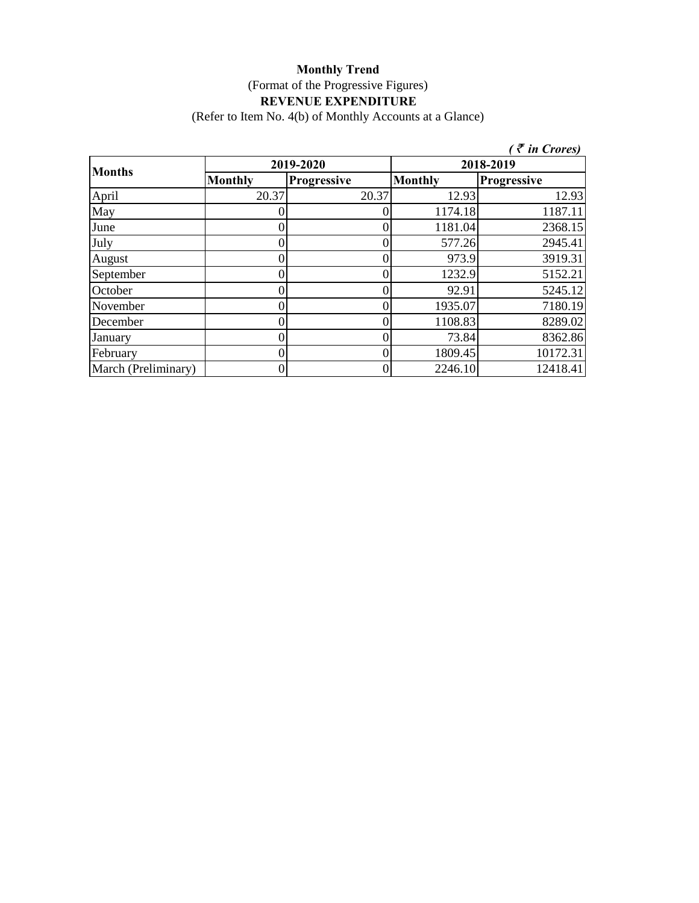(Refer to Item No. 4(b) of Monthly Accounts at a Glance)

|                     |                |                    |                | $\bar{\tau}$ in Crores) |  |
|---------------------|----------------|--------------------|----------------|-------------------------|--|
| <b>Months</b>       |                | 2019-2020          | 2018-2019      |                         |  |
|                     | <b>Monthly</b> | <b>Progressive</b> | <b>Monthly</b> | <b>Progressive</b>      |  |
| April               | 20.37          | 20.37              | 12.93          | 12.93                   |  |
| May                 |                |                    | 1174.18        | 1187.11                 |  |
| June                |                |                    | 1181.04        | 2368.15                 |  |
| July                |                |                    | 577.26         | 2945.41                 |  |
| August              |                |                    | 973.9          | 3919.31                 |  |
| September           |                |                    | 1232.9         | 5152.21                 |  |
| October             |                |                    | 92.91          | 5245.12                 |  |
| November            |                | $\left($           | 1935.07        | 7180.19                 |  |
| December            |                |                    | 1108.83        | 8289.02                 |  |
| January             |                |                    | 73.84          | 8362.86                 |  |
| February            |                |                    | 1809.45        | 10172.31                |  |
| March (Preliminary) |                |                    | 2246.10        | 12418.41                |  |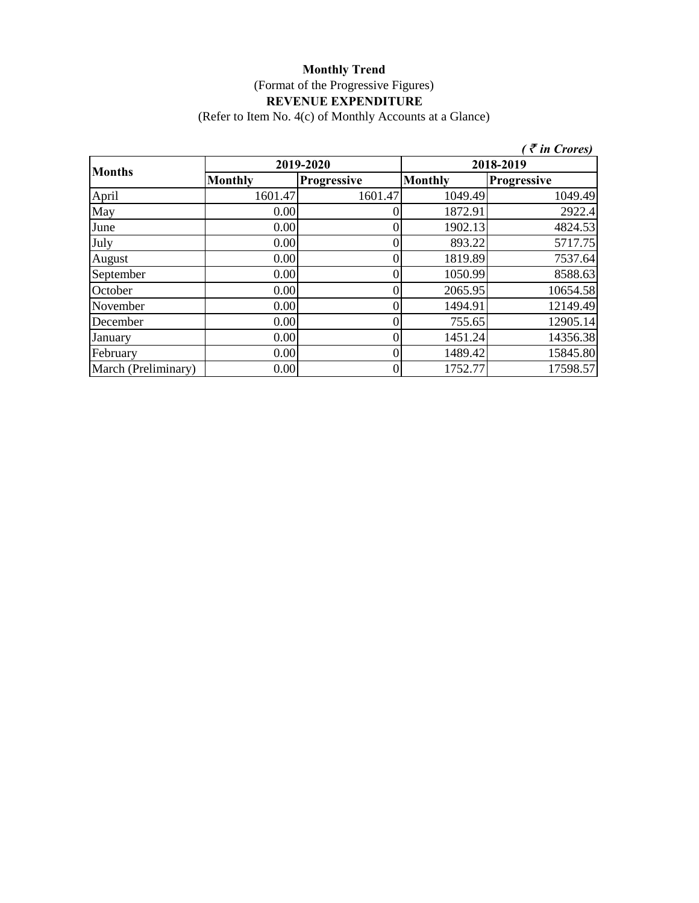(Refer to Item No. 4(c) of Monthly Accounts at a Glance)

| $\zeta \in \mathcal{F}$ in Crores) |                |             |                |                    |  |
|------------------------------------|----------------|-------------|----------------|--------------------|--|
| <b>Months</b>                      |                | 2019-2020   | 2018-2019      |                    |  |
|                                    | <b>Monthly</b> | Progressive | <b>Monthly</b> | <b>Progressive</b> |  |
| April                              | 1601.47        | 1601.47     | 1049.49        | 1049.49            |  |
| May                                | 0.00           |             | 1872.91        | 2922.4             |  |
| June                               | 0.00           |             | 1902.13        | 4824.53            |  |
| July                               | 0.00           |             | 893.22         | 5717.75            |  |
| August                             | 0.00           |             | 1819.89        | 7537.64            |  |
| September                          | 0.00           |             | 1050.99        | 8588.63            |  |
| October                            | 0.00           |             | 2065.95        | 10654.58           |  |
| November                           | 0.00           |             | 1494.91        | 12149.49           |  |
| December                           | 0.00           |             | 755.65         | 12905.14           |  |
| January                            | 0.00           |             | 1451.24        | 14356.38           |  |
| February                           | 0.00           |             | 1489.42        | 15845.80           |  |
| March (Preliminary)                | 0.00           |             | 1752.77        | 17598.57           |  |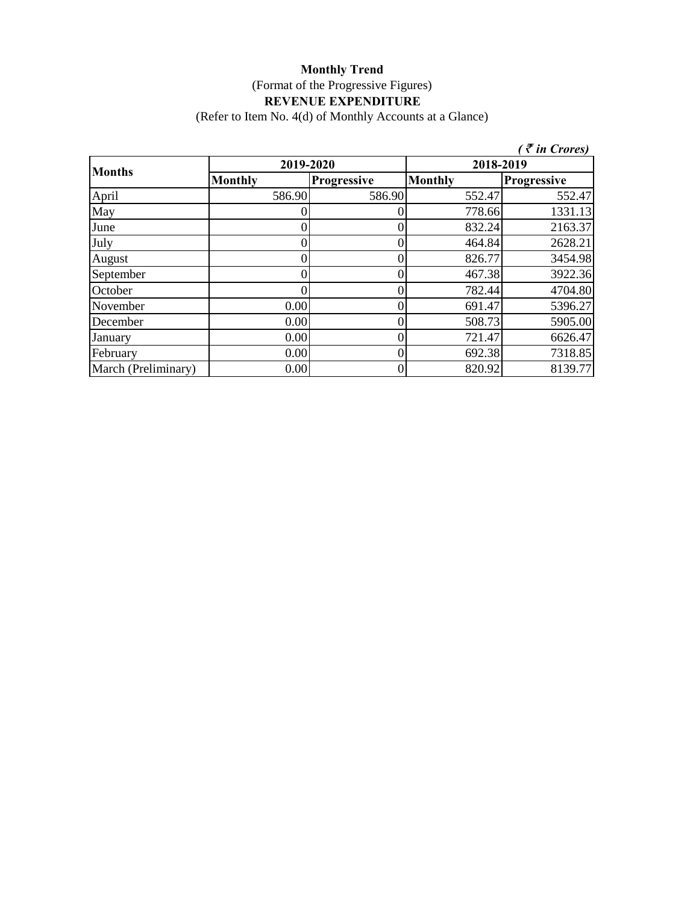(Refer to Item No. 4(d) of Monthly Accounts at a Glance)

|                     |                |             |                | $\bar{\tau}$ in Crores) |
|---------------------|----------------|-------------|----------------|-------------------------|
| <b>Months</b>       | 2019-2020      |             | 2018-2019      |                         |
|                     | <b>Monthly</b> | Progressive | <b>Monthly</b> | Progressive             |
| April               | 586.90         | 586.90      | 552.47         | 552.47                  |
| May                 |                |             | 778.66         | 1331.13                 |
| June                |                |             | 832.24         | 2163.37                 |
| July                |                |             | 464.84         | 2628.21                 |
| August              |                |             | 826.77         | 3454.98                 |
| September           |                |             | 467.38         | 3922.36                 |
| October             |                |             | 782.44         | 4704.80                 |
| November            | 0.00           |             | 691.47         | 5396.27                 |
| December            | 0.00           |             | 508.73         | 5905.00                 |
| January             | 0.00           |             | 721.47         | 6626.47                 |
| February            | 0.00           |             | 692.38         | 7318.85                 |
| March (Preliminary) | 0.00           |             | 820.92         | 8139.77                 |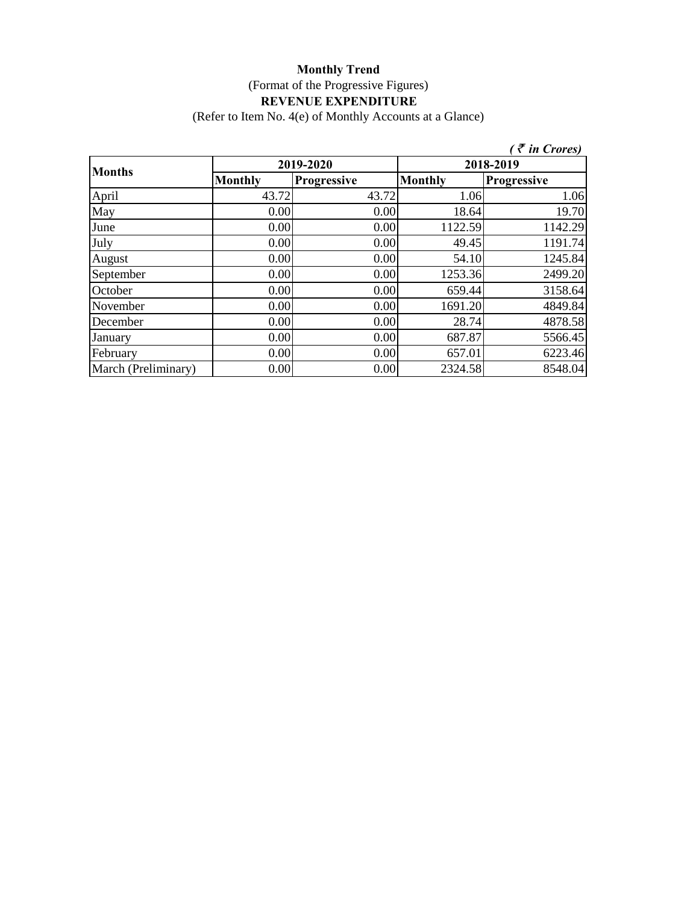(Refer to Item No. 4(e) of Monthly Accounts at a Glance)

|                     |                |                    |                | $\zeta \in$ in Crores) |
|---------------------|----------------|--------------------|----------------|------------------------|
| <b>Months</b>       | 2019-2020      |                    | 2018-2019      |                        |
|                     | <b>Monthly</b> | <b>Progressive</b> | <b>Monthly</b> | <b>Progressive</b>     |
| April               | 43.72          | 43.72              | 1.06           | 1.06                   |
| May                 | 0.00           | 0.00               | 18.64          | 19.70                  |
| June                | 0.00           | 0.00               | 1122.59        | 1142.29                |
| July                | 0.00           | 0.00               | 49.45          | 1191.74                |
| August              | 0.00           | 0.00               | 54.10          | 1245.84                |
| September           | 0.00           | 0.00               | 1253.36        | 2499.20                |
| October             | 0.00           | 0.00               | 659.44         | 3158.64                |
| November            | 0.00           | 0.00               | 1691.20        | 4849.84                |
| December            | 0.00           | 0.00               | 28.74          | 4878.58                |
| January             | 0.00           | 0.00               | 687.87         | 5566.45                |
| February            | 0.00           | 0.00               | 657.01         | 6223.46                |
| March (Preliminary) | 0.00           | 0.00               | 2324.58        | 8548.04                |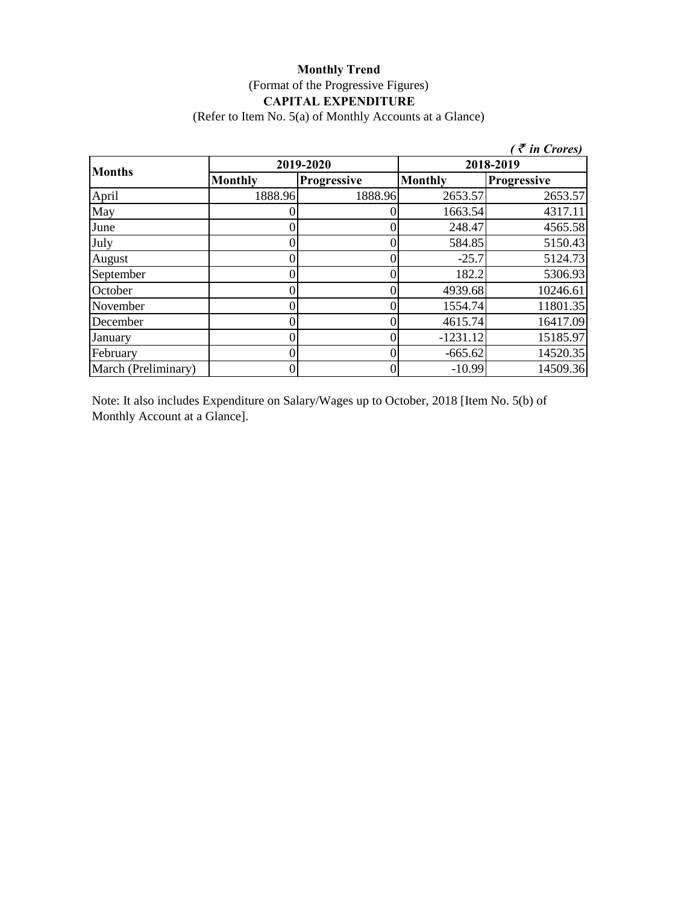### **Monthly Trend** (Format of the Progressive Figures) **CAPITAL EXPENDITURE**

(Refer to Item No. 5(a) of Monthly Accounts at a Glance)

|                     |                  |             |                | $\bar{\tau}$ in Crores) |
|---------------------|------------------|-------------|----------------|-------------------------|
| <b>Months</b>       | 2019-2020        |             | 2018-2019      |                         |
|                     | <b>Monthly</b>   | Progressive | <b>Monthly</b> | <b>Progressive</b>      |
| April               | 1888.96          | 1888.96     | 2653.57        | 2653.57                 |
| May                 |                  |             | 1663.54        | 4317.11                 |
| June                |                  |             | 248.47         | 4565.58                 |
| July                | $\left( \right)$ |             | 584.85         | 5150.43                 |
| August              | 0                |             | $-25.7$        | 5124.73                 |
| September           | 0                |             | 182.2          | 5306.93                 |
| October             | 0                |             | 4939.68        | 10246.61                |
| November            | 0                |             | 1554.74        | 11801.35                |
| December            | 0                |             | 4615.74        | 16417.09                |
| January             | 0                |             | $-1231.12$     | 15185.97                |
| February            | 0                |             | $-665.62$      | 14520.35                |
| March (Preliminary) | 0                |             | $-10.99$       | 14509.36                |

Note: It also includes Expenditure on Salary/Wages up to October, 2018 [Item No. 5(b) of Monthly Account at a Glance].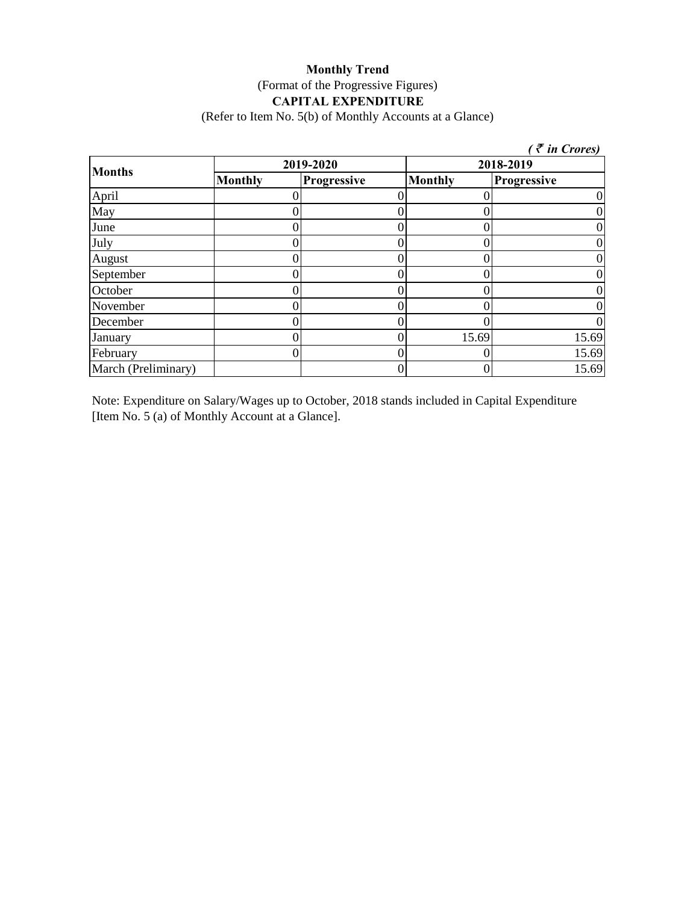### **Monthly Trend** (Format of the Progressive Figures) **CAPITAL EXPENDITURE**

(Refer to Item No. 5(b) of Monthly Accounts at a Glance)

|                     |                |                    |                | $\zeta$ <i>(† in Crores)</i> |  |
|---------------------|----------------|--------------------|----------------|------------------------------|--|
| <b>Months</b>       |                | 2019-2020          |                | 2018-2019                    |  |
|                     | <b>Monthly</b> | <b>Progressive</b> | <b>Monthly</b> | Progressive                  |  |
| April               |                |                    |                |                              |  |
| May                 |                |                    |                |                              |  |
| June                |                |                    |                |                              |  |
| July                |                |                    |                |                              |  |
| August              |                |                    |                |                              |  |
| September           |                |                    |                |                              |  |
| October             |                |                    |                |                              |  |
| November            |                |                    |                |                              |  |
| December            |                |                    |                |                              |  |
| January             |                |                    | 15.69          | 15.69                        |  |
| February            |                |                    |                | 15.69                        |  |
| March (Preliminary) |                |                    |                | 15.69                        |  |

Note: Expenditure on Salary/Wages up to October, 2018 stands included in Capital Expenditure [Item No. 5 (a) of Monthly Account at a Glance].